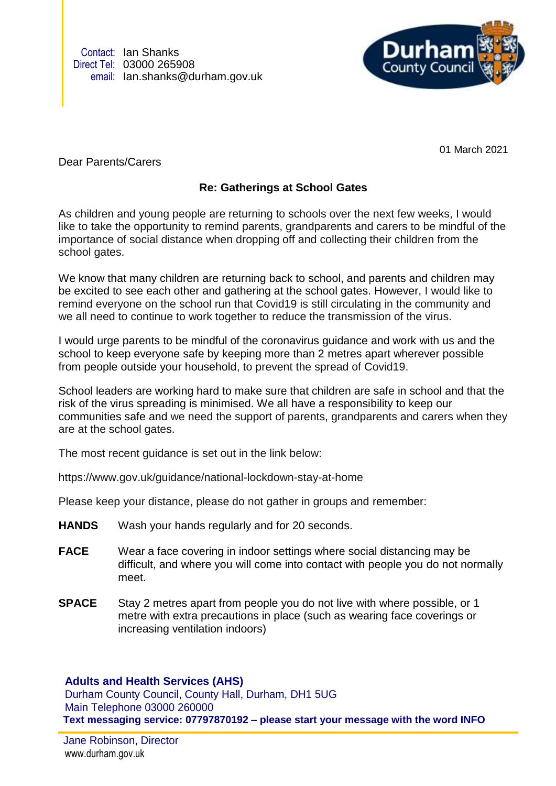Contact: Ian Shanks Direct Tel: 03000 265908 email: Ian.shanks@durham.gov.uk



01 March 2021

Dear Parents/Carers

## **Re: Gatherings at School Gates**

As children and young people are returning to schools over the next few weeks, I would like to take the opportunity to remind parents, grandparents and carers to be mindful of the importance of social distance when dropping off and collecting their children from the school gates.

We know that many children are returning back to school, and parents and children may be excited to see each other and gathering at the school gates. However, I would like to remind everyone on the school run that Covid19 is still circulating in the community and we all need to continue to work together to reduce the transmission of the virus.

I would urge parents to be mindful of the coronavirus guidance and work with us and the school to keep everyone safe by keeping more than 2 metres apart wherever possible from people outside your household, to prevent the spread of Covid19.

School leaders are working hard to make sure that children are safe in school and that the risk of the virus spreading is minimised. We all have a responsibility to keep our communities safe and we need the support of parents, grandparents and carers when they are at the school gates.

The most recent guidance is set out in the link below:

https://www.gov.uk/guidance/national-lockdown-stay-at-home

Please keep your distance, please do not gather in groups and remember:

- **HANDS** Wash your hands regularly and for 20 seconds.
- **FACE** Wear a face covering in indoor settings where social distancing may be difficult, and where you will come into contact with people you do not normally meet.
- **SPACE** Stay 2 metres apart from people you do not live with where possible, or 1 metre with extra precautions in place (such as wearing face coverings or increasing ventilation indoors)

## **Adults and Health Services (AHS)**

Durham County Council, County Hall, Durham, DH1 5UG Main Telephone 03000 260000 **Text messaging service: 07797870192 – please start your message with the word INFO**